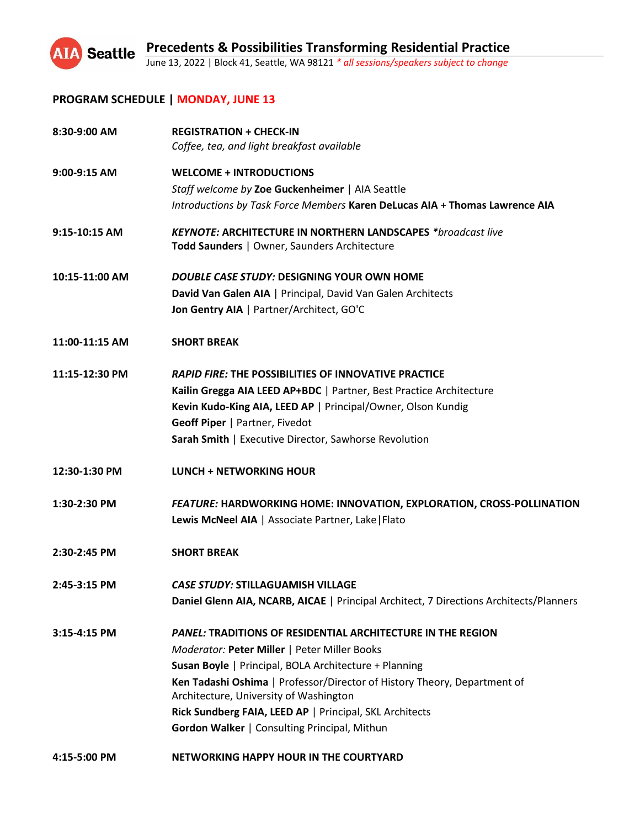

# **PROGRAM SCHEDULE | MONDAY, JUNE 13**

| 8:30-9:00 AM   | <b>REGISTRATION + CHECK-IN</b><br>Coffee, tea, and light breakfast available                                        |
|----------------|---------------------------------------------------------------------------------------------------------------------|
| 9:00-9:15 AM   | <b>WELCOME + INTRODUCTIONS</b>                                                                                      |
|                | Staff welcome by Zoe Guckenheimer   AIA Seattle                                                                     |
|                | Introductions by Task Force Members Karen DeLucas AIA + Thomas Lawrence AIA                                         |
| 9:15-10:15 AM  | <b>KEYNOTE: ARCHITECTURE IN NORTHERN LANDSCAPES *broadcast live</b><br>Todd Saunders   Owner, Saunders Architecture |
| 10:15-11:00 AM | DOUBLE CASE STUDY: DESIGNING YOUR OWN HOME                                                                          |
|                | David Van Galen AIA   Principal, David Van Galen Architects                                                         |
|                | Jon Gentry AIA   Partner/Architect, GO'C                                                                            |
| 11:00-11:15 AM | <b>SHORT BREAK</b>                                                                                                  |
| 11:15-12:30 PM | <b>RAPID FIRE: THE POSSIBILITIES OF INNOVATIVE PRACTICE</b>                                                         |
|                | Kailin Gregga AIA LEED AP+BDC   Partner, Best Practice Architecture                                                 |
|                | Kevin Kudo-King AIA, LEED AP   Principal/Owner, Olson Kundig                                                        |
|                | Geoff Piper   Partner, Fivedot                                                                                      |
|                | Sarah Smith   Executive Director, Sawhorse Revolution                                                               |
| 12:30-1:30 PM  | <b>LUNCH + NETWORKING HOUR</b>                                                                                      |
| 1:30-2:30 PM   | <b>FEATURE: HARDWORKING HOME: INNOVATION, EXPLORATION, CROSS-POLLINATION</b>                                        |
|                | Lewis McNeel AIA   Associate Partner, Lake   Flato                                                                  |
| 2:30-2:45 PM   | <b>SHORT BREAK</b>                                                                                                  |
| 2:45-3:15 PM   | <b>CASE STUDY: STILLAGUAMISH VILLAGE</b>                                                                            |
|                | Daniel Glenn AIA, NCARB, AICAE   Principal Architect, 7 Directions Architects/Planners                              |
| $3:15-4:15$ PM | <b>PANEL: TRADITIONS OF RESIDENTIAL ARCHITECTURE IN THE REGION</b><br>Moderator: Peter Miller   Peter Miller Books  |
|                | Susan Boyle   Principal, BOLA Architecture + Planning                                                               |
|                | Ken Tadashi Oshima   Professor/Director of History Theory, Department of<br>Architecture, University of Washington  |
|                | Rick Sundberg FAIA, LEED AP   Principal, SKL Architects                                                             |
|                | Gordon Walker   Consulting Principal, Mithun                                                                        |
| 4:15-5:00 PM   | NETWORKING HAPPY HOUR IN THE COURTYARD                                                                              |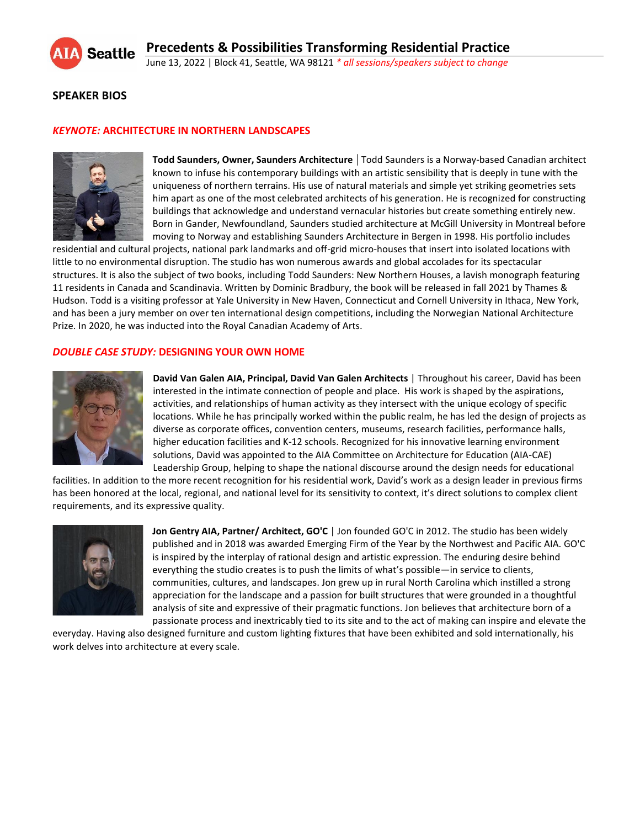

## **SPEAKER BIOS**

#### *KEYNOTE:* **ARCHITECTURE IN NORTHERN LANDSCAPES**



**Todd Saunders, Owner, Saunders Architecture** | Todd Saunders is a Norway-based Canadian architect known to infuse his contemporary buildings with an artistic sensibility that is deeply in tune with the uniqueness of northern terrains. His use of natural materials and simple yet striking geometries sets him apart as one of the most celebrated architects of his generation. He is recognized for constructing buildings that acknowledge and understand vernacular histories but create something entirely new. Born in Gander, Newfoundland, Saunders studied architecture at McGill University in Montreal before moving to Norway and establishing Saunders Architecture in Bergen in 1998. His portfolio includes

residential and cultural projects, national park landmarks and off-grid micro-houses that insert into isolated locations with little to no environmental disruption. The studio has won numerous awards and global accolades for its spectacular structures. It is also the subject of two books, including Todd Saunders: New Northern Houses, a lavish monograph featuring 11 residents in Canada and Scandinavia. Written by Dominic Bradbury, the book will be released in fall 2021 by Thames & Hudson. Todd is a visiting professor at Yale University in New Haven, Connecticut and Cornell University in Ithaca, New York, and has been a jury member on over ten international design competitions, including the Norwegian National Architecture Prize. In 2020, he was inducted into the Royal Canadian Academy of Arts.

#### *DOUBLE CASE STUDY:* **DESIGNING YOUR OWN HOME**



**David Van Galen AIA, Principal, David Van Galen Architects** | Throughout his career, David has been interested in the intimate connection of people and place. His work is shaped by the aspirations, activities, and relationships of human activity as they intersect with the unique ecology of specific locations. While he has principally worked within the public realm, he has led the design of projects as diverse as corporate offices, convention centers, museums, research facilities, performance halls, higher education facilities and K-12 schools. Recognized for his innovative learning environment solutions, David was appointed to the AIA Committee on Architecture for Education (AIA-CAE) Leadership Group, helping to shape the national discourse around the design needs for educational

facilities. In addition to the more recent recognition for his residential work, David's work as a design leader in previous firms has been honored at the local, regional, and national level for its sensitivity to context, it's direct solutions to complex client requirements, and its expressive quality.



**Jon Gentry AIA, Partner/ Architect, GO'C** | Jon founded GO'C in 2012. The studio has been widely published and in 2018 was awarded Emerging Firm of the Year by the Northwest and Pacific AIA. GO'C is inspired by the interplay of rational design and artistic expression. The enduring desire behind everything the studio creates is to push the limits of what's possible—in service to clients, communities, cultures, and landscapes. Jon grew up in rural North Carolina which instilled a strong appreciation for the landscape and a passion for built structures that were grounded in a thoughtful analysis of site and expressive of their pragmatic functions. Jon believes that architecture born of a passionate process and inextricably tied to its site and to the act of making can inspire and elevate the

everyday. Having also designed furniture and custom lighting fixtures that have been exhibited and sold internationally, his work delves into architecture at every scale.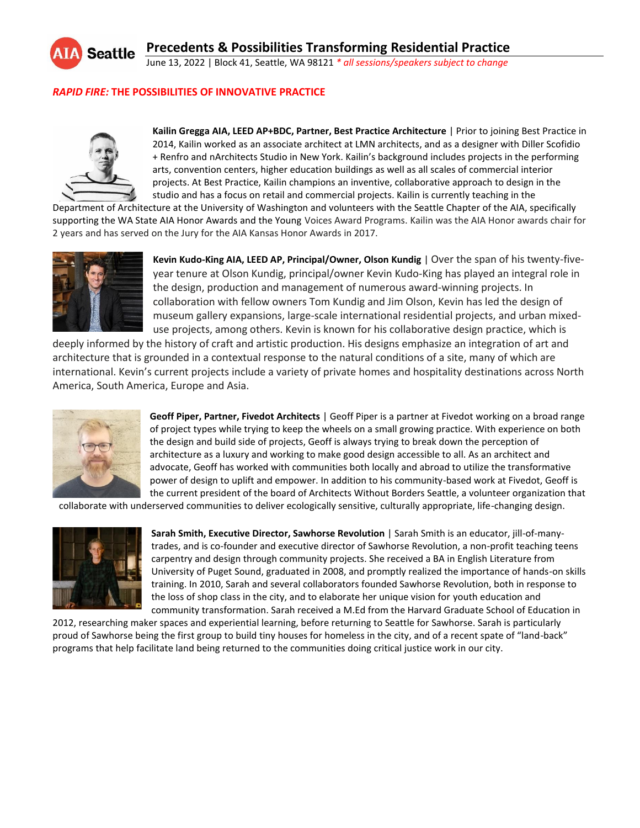

June 13, 2022 | Block 41, Seattle, WA 98121 *\* all sessions/speakers subject to change*

## *RAPID FIRE:* **THE POSSIBILITIES OF INNOVATIVE PRACTICE**



**Kailin Gregga AIA, LEED AP+BDC, Partner, Best Practice Architecture** | Prior to joining Best Practice in 2014, Kailin worked as an associate architect at LMN architects, and as a designer with Diller Scofidio + Renfro and nArchitects Studio in New York. Kailin's background includes projects in the performing arts, convention centers, higher education buildings as well as all scales of commercial interior projects. At Best Practice, Kailin champions an inventive, collaborative approach to design in the studio and has a focus on retail and commercial projects. Kailin is currently teaching in the

Department of Architecture at the University of Washington and volunteers with the Seattle Chapter of the AIA, specifically supporting the WA State AIA Honor Awards and the Young Voices Award Programs. Kailin was the AIA Honor awards chair for 2 years and has served on the Jury for the AIA Kansas Honor Awards in 2017.



**Kevin Kudo-King AIA, LEED AP, Principal/Owner, Olson Kundig** | Over the span of his twenty-fiveyear tenure at Olson Kundig, principal/owner Kevin Kudo-King has played an integral role in the design, production and management of numerous award-winning projects. In collaboration with fellow owners Tom Kundig and Jim Olson, Kevin has led the design of museum gallery expansions, large-scale international residential projects, and urban mixeduse projects, among others. Kevin is known for his collaborative design practice, which is

deeply informed by the history of craft and artistic production. His designs emphasize an integration of art and architecture that is grounded in a contextual response to the natural conditions of a site, many of which are international. Kevin's current projects include a variety of private homes and hospitality destinations across North America, South America, Europe and Asia.



**Geoff Piper, Partner, Fivedot Architects** | Geoff Piper is a partner at Fivedot working on a broad range of project types while trying to keep the wheels on a small growing practice. With experience on both the design and build side of projects, Geoff is always trying to break down the perception of architecture as a luxury and working to make good design accessible to all. As an architect and advocate, Geoff has worked with communities both locally and abroad to utilize the transformative power of design to uplift and empower. In addition to his community-based work at Fivedot, Geoff is the current president of the board of Architects Without Borders Seattle, a volunteer organization that

collaborate with underserved communities to deliver ecologically sensitive, culturally appropriate, life-changing design.



**Sarah Smith, Executive Director, Sawhorse Revolution** | Sarah Smith is an educator, jill-of-manytrades, and is co-founder and executive director of Sawhorse Revolution, a non-profit teaching teens carpentry and design through community projects. She received a BA in English Literature from University of Puget Sound, graduated in 2008, and promptly realized the importance of hands-on skills training. In 2010, Sarah and several collaborators founded Sawhorse Revolution, both in response to the loss of shop class in the city, and to elaborate her unique vision for youth education and community transformation. Sarah received a M.Ed from the Harvard Graduate School of Education in

2012, researching maker spaces and experiential learning, before returning to Seattle for Sawhorse. Sarah is particularly proud of Sawhorse being the first group to build tiny houses for homeless in the city, and of a recent spate of "land-back" programs that help facilitate land being returned to the communities doing critical justice work in our city.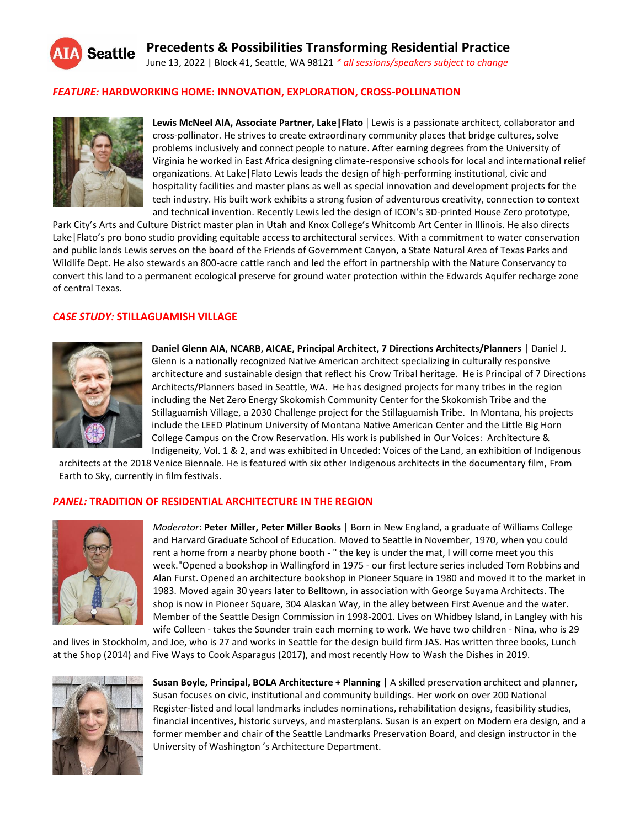

June 13, 2022 | Block 41, Seattle, WA 98121 *\* all sessions/speakers subject to change*

#### *FEATURE:* **HARDWORKING HOME: INNOVATION, EXPLORATION, CROSS-POLLINATION**



**Lewis McNeel AIA, Associate Partner, Lake|Flato** | Lewis is a passionate architect, collaborator and cross-pollinator. He strives to create extraordinary community places that bridge cultures, solve problems inclusively and connect people to nature. After earning degrees from the University of Virginia he worked in East Africa designing climate-responsive schools for local and international relief organizations. At Lake|Flato Lewis leads the design of high-performing institutional, civic and hospitality facilities and master plans as well as special innovation and development projects for the tech industry. His built work exhibits a strong fusion of adventurous creativity, connection to context and technical invention. Recently Lewis led the design of ICON's 3D-printed House Zero prototype,

Park City's Arts and Culture District master plan in Utah and Knox College's Whitcomb Art Center in Illinois. He also directs Lake|Flato's pro bono studio providing equitable access to architectural services. With a commitment to water conservation and public lands Lewis serves on the board of the Friends of Government Canyon, a State Natural Area of Texas Parks and Wildlife Dept. He also stewards an 800-acre cattle ranch and led the effort in partnership with the Nature Conservancy to convert this land to a permanent ecological preserve for ground water protection within the Edwards Aquifer recharge zone of central Texas.

## *CASE STUDY:* **STILLAGUAMISH VILLAGE**



**Daniel Glenn AIA, NCARB, AICAE, Principal Architect, 7 Directions Architects/Planners** | Daniel J. Glenn is a nationally recognized Native American architect specializing in culturally responsive architecture and sustainable design that reflect his Crow Tribal heritage. He is Principal of 7 Directions Architects/Planners based in Seattle, WA. He has designed projects for many tribes in the region including the Net Zero Energy Skokomish Community Center for the Skokomish Tribe and the Stillaguamish Village, a 2030 Challenge project for the Stillaguamish Tribe. In Montana, his projects include the LEED Platinum University of Montana Native American Center and the Little Big Horn College Campus on the Crow Reservation. His work is published in Our Voices: Architecture & Indigeneity, Vol. 1 & 2, and was exhibited in Unceded: Voices of the Land, an exhibition of Indigenous

architects at the 2018 Venice Biennale. He is featured with six other Indigenous architects in the documentary film, From Earth to Sky, currently in film festivals.

#### *PANEL:* **TRADITION OF RESIDENTIAL ARCHITECTURE IN THE REGION**



*Moderator*: **Peter Miller, Peter Miller Books** | Born in New England, a graduate of Williams College and Harvard Graduate School of Education. Moved to Seattle in November, 1970, when you could rent a home from a nearby phone booth - " the key is under the mat, I will come meet you this week."Opened a bookshop in Wallingford in 1975 - our first lecture series included Tom Robbins and Alan Furst. Opened an architecture bookshop in Pioneer Square in 1980 and moved it to the market in 1983. Moved again 30 years later to Belltown, in association with George Suyama Architects. The shop is now in Pioneer Square, 304 Alaskan Way, in the alley between First Avenue and the water. Member of the Seattle Design Commission in 1998-2001. Lives on Whidbey Island, in Langley with his wife Colleen - takes the Sounder train each morning to work. We have two children - Nina, who is 29

and lives in Stockholm, and Joe, who is 27 and works in Seattle for the design build firm JAS. Has written three books, Lunch at the Shop (2014) and Five Ways to Cook Asparagus (2017), and most recently How to Wash the Dishes in 2019.



**Susan Boyle, Principal, BOLA Architecture + Planning** | A skilled preservation architect and planner, Susan focuses on civic, institutional and community buildings. Her work on over 200 National Register-listed and local landmarks includes nominations, rehabilitation designs, feasibility studies, financial incentives, historic surveys, and masterplans. Susan is an expert on Modern era design, and a former member and chair of the Seattle Landmarks Preservation Board, and design instructor in the University of Washington 's Architecture Department.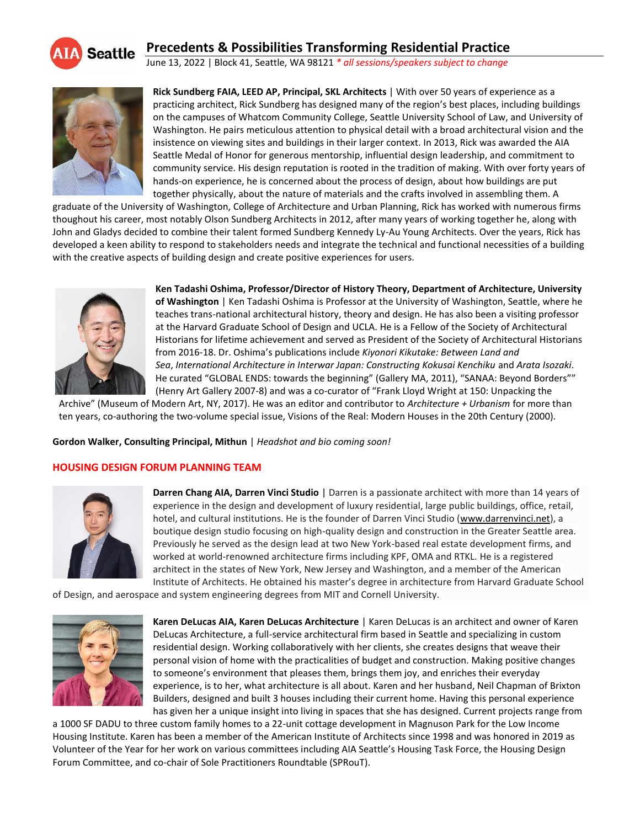

# **Precedents & Possibilities Transforming Residential Practice**

June 13, 2022 | Block 41, Seattle, WA 98121 *\* all sessions/speakers subject to change*



**Rick Sundberg FAIA, LEED AP, Principal, SKL Architects** | With over 50 years of experience as a practicing architect, Rick Sundberg has designed many of the region's best places, including buildings on the campuses of Whatcom Community College, Seattle University School of Law, and University of Washington. He pairs meticulous attention to physical detail with a broad architectural vision and the insistence on viewing sites and buildings in their larger context. In 2013, Rick was awarded the AIA Seattle Medal of Honor for generous mentorship, influential design leadership, and commitment to community service. His design reputation is rooted in the tradition of making. With over forty years of hands-on experience, he is concerned about the process of design, about how buildings are put together physically, about the nature of materials and the crafts involved in assembling them. A

graduate of the University of Washington, College of Architecture and Urban Planning, Rick has worked with numerous firms thoughout his career, most notably Olson Sundberg Architects in 2012, after many years of working together he, along with John and Gladys decided to combine their talent formed Sundberg Kennedy Ly-Au Young Architects. Over the years, Rick has developed a keen ability to respond to stakeholders needs and integrate the technical and functional necessities of a building with the creative aspects of building design and create positive experiences for users.



**Ken Tadashi Oshima, Professor/Director of History Theory, Department of Architecture, University of Washington** | Ken Tadashi Oshima is Professor at the University of Washington, Seattle, where he teaches trans-national architectural history, theory and design. He has also been a visiting professor at the Harvard Graduate School of Design and UCLA. He is a Fellow of the Society of Architectural Historians for lifetime achievement and served as President of the Society of Architectural Historians from 2016-18. Dr. Oshima's publications include *Kiyonori Kikutake: Between Land and Sea*, *International Architecture in Interwar Japan: Constructing Kokusai Kenchiku* and *Arata Isozaki*. He curated "GLOBAL ENDS: towards the beginning" (Gallery MA, 2011), "SANAA: Beyond Borders"" (Henry Art Gallery 2007-8) and was a co-curator of "Frank Lloyd Wright at 150: Unpacking the

Archive" (Museum of Modern Art, NY, 2017). He was an editor and contributor to *Architecture + Urbanism* for more than ten years, co-authoring the two-volume special issue, Visions of the Real: Modern Houses in the 20th Century (2000).

**Gordon Walker, Consulting Principal, Mithun** | *Headshot and bio coming soon!*

#### **HOUSING DESIGN FORUM PLANNING TEAM**



**Darren Chang AIA, Darren Vinci Studio** | Darren is a passionate architect with more than 14 years of experience in the design and development of luxury residential, large public buildings, office, retail, hotel, and cultural institutions. He is the founder of Darren Vinci Studio (www.darrenvinci.net), a boutique design studio focusing on high-quality design and construction in the Greater Seattle area. Previously he served as the design lead at two New York-based real estate development firms, and worked at world-renowned architecture firms including KPF, OMA and RTKL. He is a registered architect in the states of New York, New Jersey and Washington, and a member of the American Institute of Architects. He obtained his master's degree in architecture from Harvard Graduate School

of Design, and aerospace and system engineering degrees from MIT and Cornell University.



**Karen DeLucas AIA, Karen DeLucas Architecture** | Karen DeLucas is an architect and owner of Karen DeLucas Architecture, a full-service architectural firm based in Seattle and specializing in custom residential design. Working collaboratively with her clients, she creates designs that weave their personal vision of home with the practicalities of budget and construction. Making positive changes to someone's environment that pleases them, brings them joy, and enriches their everyday experience, is to her, what architecture is all about. Karen and her husband, Neil Chapman of Brixton Builders, designed and built 3 houses including their current home. Having this personal experience has given her a unique insight into living in spaces that she has designed. Current projects range from

a 1000 SF DADU to three custom family homes to a 22-unit cottage development in Magnuson Park for the Low Income Housing Institute. Karen has been a member of the American Institute of Architects since 1998 and was honored in 2019 as Volunteer of the Year for her work on various committees including AIA Seattle's Housing Task Force, the Housing Design Forum Committee, and co-chair of Sole Practitioners Roundtable (SPRouT).